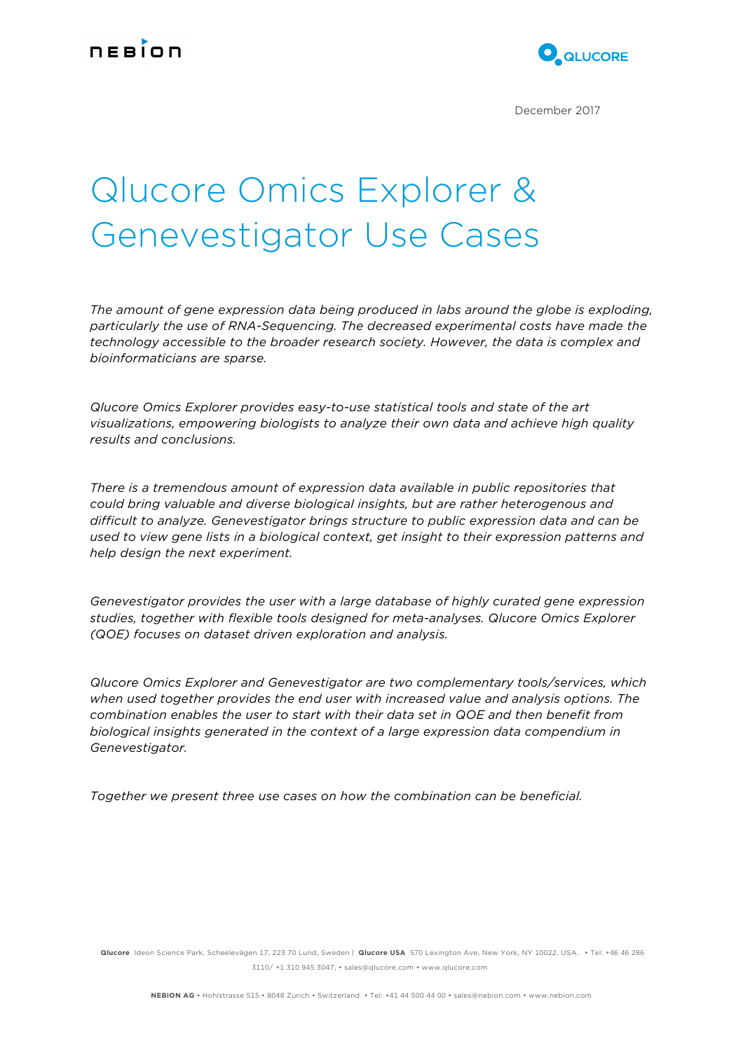

December 2017

# Qlucore Omics Explorer & Genevestigator Use Cases

*The amount of gene expression data being produced in labs around the globe is exploding, particularly the use of RNA-Sequencing. The decreased experimental costs have made the technology accessible to the broader research society. However, the data is complex and bioinformaticians are sparse.*

*Qlucore Omics Explorer provides easy-to-use statistical tools and state of the art visualizations, empowering biologists to analyze their own data and achieve high quality results and conclusions.*

*There is a tremendous amount of expression data available in public repositories that could bring valuable and diverse biological insights, but are rather heterogenous and difficult to analyze. Genevestigator brings structure to public expression data and can be used to view gene lists in a biological context, get insight to their expression patterns and help design the next experiment.* 

*Genevestigator provides the user with a large database of highly curated gene expression studies, together with flexible tools designed for meta-analyses. Qlucore Omics Explorer (QOE) focuses on dataset driven exploration and analysis.*

*Qlucore Omics Explorer and Genevestigator are two complementary tools/services, which when used together provides the end user with increased value and analysis options. The combination enables the user to start with their data set in QOE and then benefit from biological insights generated in the context of a large expression data compendium in Genevestigator.*

*Together we present three use cases on how the combination can be beneficial.*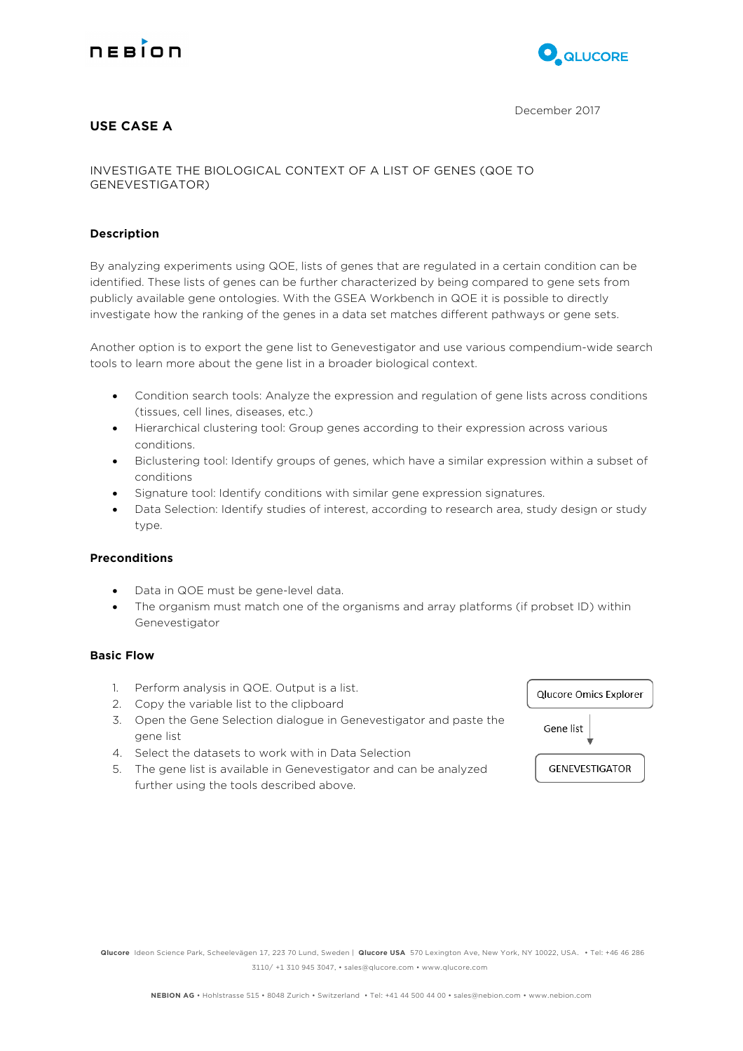



# **USE CASE A**

INVESTIGATE THE BIOLOGICAL CONTEXT OF A LIST OF GENES (QOE TO GENEVESTIGATOR)

# **Description**

By analyzing experiments using QOE, lists of genes that are regulated in a certain condition can be identified. These lists of genes can be further characterized by being compared to gene sets from publicly available gene ontologies. With the GSEA Workbench in QOE it is possible to directly investigate how the ranking of the genes in a data set matches different pathways or gene sets.

Another option is to export the gene list to Genevestigator and use various compendium-wide search tools to learn more about the gene list in a broader biological context.

- Condition search tools: Analyze the expression and regulation of gene lists across conditions (tissues, cell lines, diseases, etc.)
- Hierarchical clustering tool: Group genes according to their expression across various conditions.
- Biclustering tool: Identify groups of genes, which have a similar expression within a subset of conditions
- Signature tool: Identify conditions with similar gene expression signatures.
- Data Selection: Identify studies of interest, according to research area, study design or study type.

# **Preconditions**

- Data in QOE must be gene-level data.
- The organism must match one of the organisms and array platforms (if probset ID) within Genevestigator

#### **Basic Flow**

- 1. Perform analysis in QOE. Output is a list.
- 2. Copy the variable list to the clipboard
- 3. Open the Gene Selection dialogue in Genevestigator and paste the gene list
- 4. Select the datasets to work with in Data Selection
- 5. The gene list is available in Genevestigator and can be analyzed further using the tools described above.

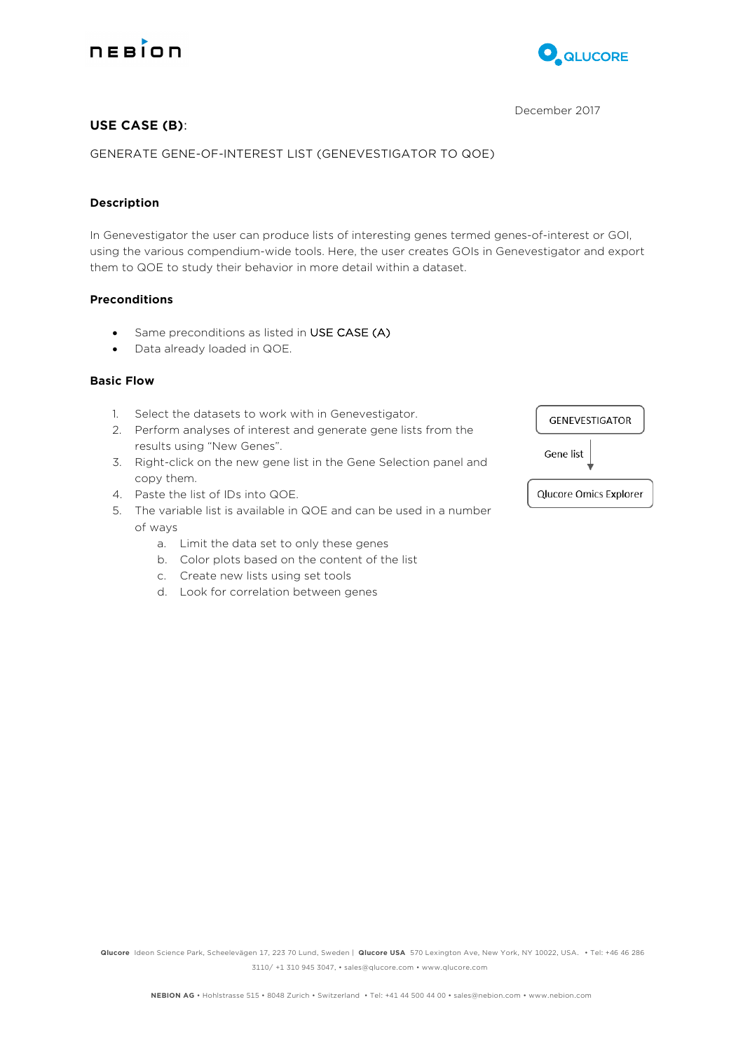



# December 2017

# **USE CASE (B)**:

GENERATE GENE-OF-INTEREST LIST (GENEVESTIGATOR TO QOE)

# **Description**

In Genevestigator the user can produce lists of interesting genes termed genes-of-interest or GOI, using the various compendium-wide tools. Here, the user creates GOIs in Genevestigator and export them to QOE to study their behavior in more detail within a dataset.

# **Preconditions**

- Same preconditions as listed in USE CASE (A)
- Data already loaded in QOE.

# **Basic Flow**

- 1. Select the datasets to work with in Genevestigator.
- 2. Perform analyses of interest and generate gene lists from the results using "New Genes".
- 3. Right-click on the new gene list in the Gene Selection panel and copy them.
- 4. Paste the list of IDs into QOE.
- 5. The variable list is available in QOE and can be used in a number of ways
	- a. Limit the data set to only these genes
	- b. Color plots based on the content of the list
	- c. Create new lists using set tools
	- d. Look for correlation between genes